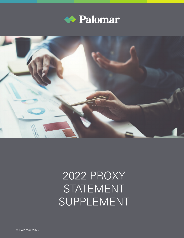



## 2022 PROXY STATEMENT SUPPLEMENT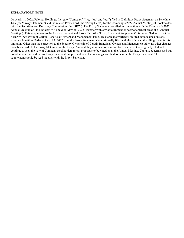## **EXPLANATORY NOTE**

On April 14, 2022, Palomar Holdings, Inc. (the "Company," "we," "us" and "our") filed its Definitive Proxy Statement on Schedule 14A (the "Proxy Statement") and the related Proxy Card (the "Proxy Card") for the Company's 2022 Annual Meeting of Stockholders with the Securities and Exchange Commission (the "SEC"). The Proxy Statement was filed in connection with the Company's 2022 Annual Meeting of Stockholders to be held on May 26, 2022 (together with any adjournment or postponement thereof, the "Annual Meeting"). This supplement to the Proxy Statement and Proxy Card (the "Proxy Statement Supplement") is being filed to correct the Security Ownership of Certain Beneficial Owners and Management table. This table inadvertently omitted certain stock options exercisable within 60 days of April 1, 2022 from the Proxy Statement when originally filed with the SEC and this filing corrects this omission. Other than the correction to the Security Ownership of Certain Beneficial Owners and Management table, no other changes have been made to the Proxy Statement or the Proxy Card and they continue to be in full force and effect as originally filed and continue to seek the vote of Company stockholders for all proposals to be voted on at the Annual Meeting. Capitalized terms used but not otherwise defined in this Proxy Statement Supplement have the meanings ascribed to them in the Proxy Statement. This supplement should be read together with the Proxy Statement.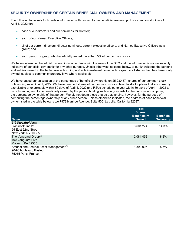## **SECURITY OWNERSHIP OF CERTAIN BENEFICIAL OWNERS AND MANAGEMENT**

The following table sets forth certain information with respect to the beneficial ownership of our common stock as of April 1, 2022 for:

- each of our directors and our nominees for director;
- each of our Named Executive Officers;
- all of our current directors, director nominees, current executive officers, and Named Executive Officers as a group; and
- each person or group who beneficially owned more than 5% of our common stock.

We have determined beneficial ownership in accordance with the rules of the SEC and the information is not necessarily indicative of beneficial ownership for any other purpose. Unless otherwise indicated below, to our knowledge, the persons and entities named in the table have sole voting and sole investment power with respect to all shares that they beneficially owned, subject to community property laws where applicable.

We have based our calculation of the percentage of beneficial ownership on 25,230,571 shares of our common stock outstanding as of April 1, 2022. We have deemed shares of our common stock subject to stock options that are currently exercisable or exercisable within 60 days of April 1, 2022 and RSUs scheduled to vest within 60 days of April 1, 2022 to be outstanding and to be beneficially owned by the person holding such equity awards for the purpose of computing the percentage ownership of that person. We did not deem these shares outstanding, however, for the purpose of computing the percentage ownership of any other person. Unless otherwise indicated, the address of each beneficial owner listed in the table below is c/o 7979 Ivanhoe Avenue, Suite 500, La Jolla, California 92037.

| <b>Name</b>                                                                                         | <b>Total</b><br><b>Shares</b><br><b>Beneficially</b><br>Owned | <b>Beneficial</b><br>Ownership |
|-----------------------------------------------------------------------------------------------------|---------------------------------------------------------------|--------------------------------|
| 5% Stockholders:                                                                                    |                                                               |                                |
| Blackrock, Inc. <sup>(1)</sup><br>55 East 52nd Street<br>New York, NY 10055                         | 3,601,274                                                     | 14.3%                          |
| The Vanguard Group <sup>(2)</sup><br>100 Vanguard Blvd.<br>Malvern, PA 19355                        | 2,081,452                                                     | 8.2%                           |
| Amundi and Amundi Asset Management <sup>(3)</sup><br>90-93 boulevard Pasteur<br>75015 Paris, France | 1,393,097                                                     | 5.5%                           |